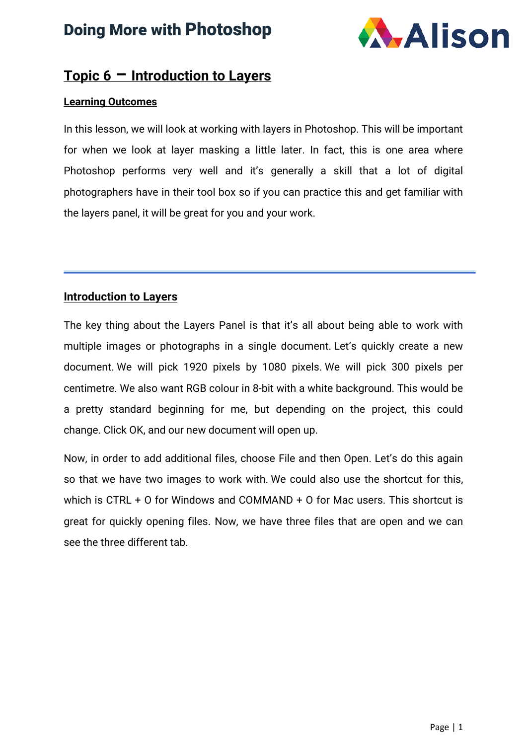# Doing More with Photoshop



#### **Topic 6 – Introduction to Layers**

#### **Learning Outcomes**

In this lesson, we will look at working with layers in Photoshop. This will be important for when we look at layer masking a little later. In fact, this is one area where Photoshop performs very well and it's generally a skill that a lot of digital photographers have in their tool box so if you can practice this and get familiar with the layers panel, it will be great for you and your work.

#### **Introduction to Layers**

The key thing about the Layers Panel is that it's all about being able to work with multiple images or photographs in a single document. Let's quickly create a new document. We will pick 1920 pixels by 1080 pixels. We will pick 300 pixels per centimetre. We also want RGB colour in 8-bit with a white background. This would be a pretty standard beginning for me, but depending on the project, this could change. Click OK, and our new document will open up.

Now, in order to add additional files, choose File and then Open. Let's do this again so that we have two images to work with. We could also use the shortcut for this, which is CTRL + O for Windows and COMMAND + O for Mac users. This shortcut is great for quickly opening files. Now, we have three files that are open and we can see the three different tab.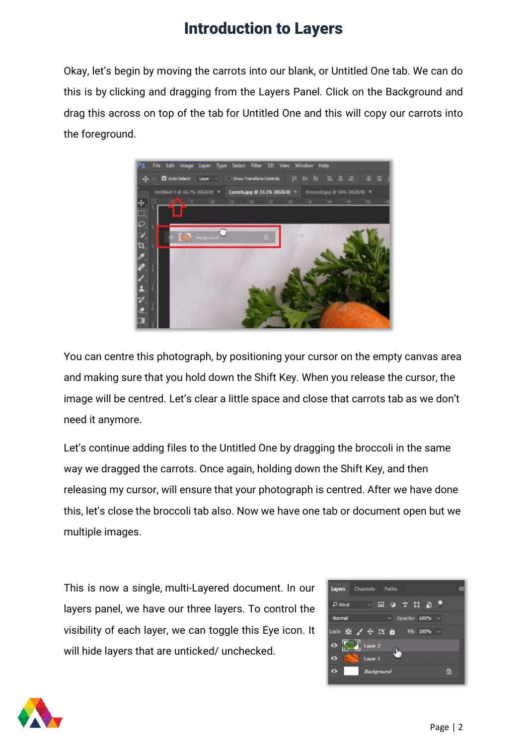Okay, let's begin by moving the carrots into our blank, or Untitled One tab. We can do this is by clicking and dragging from the Layers Panel. Click on the Background and drag this across on top of the tab for Untitled One and this will copy our carrots into the foreground.



You can centre this photograph, by positioning your cursor on the empty canvas area and making sure that you hold down the Shift Key. When you release the cursor, the image will be centred. Let's clear a little space and close that carrots tab as we don't need it anymore.

Let's continue adding files to the Untitled One by dragging the broccoli in the same way we dragged the carrots. Once again, holding down the Shift Key, and then releasing my cursor, will ensure that your photograph is centred. After we have done this, let's close the broccoli tab also. Now we have one tab or document open but we multiple images.

This is now a single, multi-Layered document. In our layers panel, we have our three layers. To control the visibility of each layer, we can toggle this Eye icon. It will hide layers that are unticked/ unchecked.



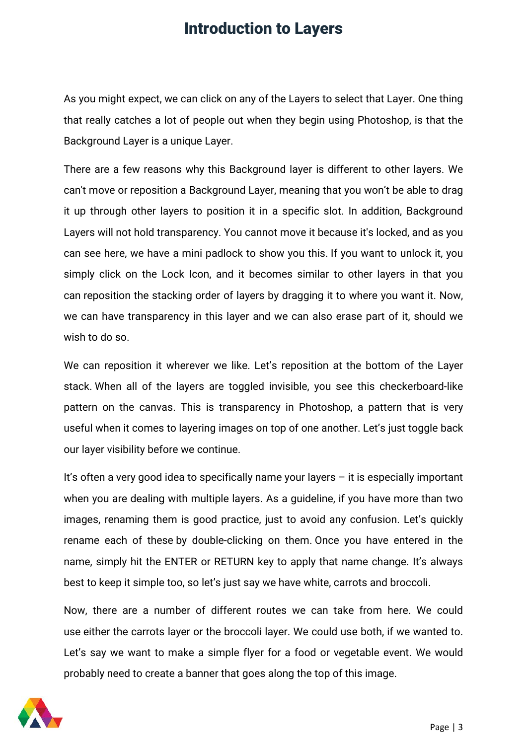As you might expect, we can click on any of the Layers to select that Layer. One thing that really catches a lot of people out when they begin using Photoshop, is that the Background Layer is a unique Layer.

There are a few reasons why this Background layer is different to other layers. We can't move or reposition a Background Layer, meaning that you won't be able to drag it up through other layers to position it in a specific slot. In addition, Background Layers will not hold transparency. You cannot move it because it's locked, and as you can see here, we have a mini padlock to show you this. If you want to unlock it, you simply click on the Lock Icon, and it becomes similar to other layers in that you can reposition the stacking order of layers by dragging it to where you want it. Now, we can have transparency in this layer and we can also erase part of it, should we wish to do so.

We can reposition it wherever we like. Let's reposition at the bottom of the Layer stack. When all of the layers are toggled invisible, you see this checkerboard-like pattern on the canvas. This is transparency in Photoshop, a pattern that is very useful when it comes to layering images on top of one another. Let's just toggle back our layer visibility before we continue.

It's often a very good idea to specifically name your layers  $-$  it is especially important when you are dealing with multiple layers. As a guideline, if you have more than two images, renaming them is good practice, just to avoid any confusion. Let's quickly rename each of these by double-clicking on them. Once you have entered in the name, simply hit the ENTER or RETURN key to apply that name change. It's always best to keep it simple too, so let's just say we have white, carrots and broccoli.

Now, there are a number of different routes we can take from here. We could use either the carrots layer or the broccoli layer. We could use both, if we wanted to. Let's say we want to make a simple flyer for a food or vegetable event. We would probably need to create a banner that goes along the top of this image.

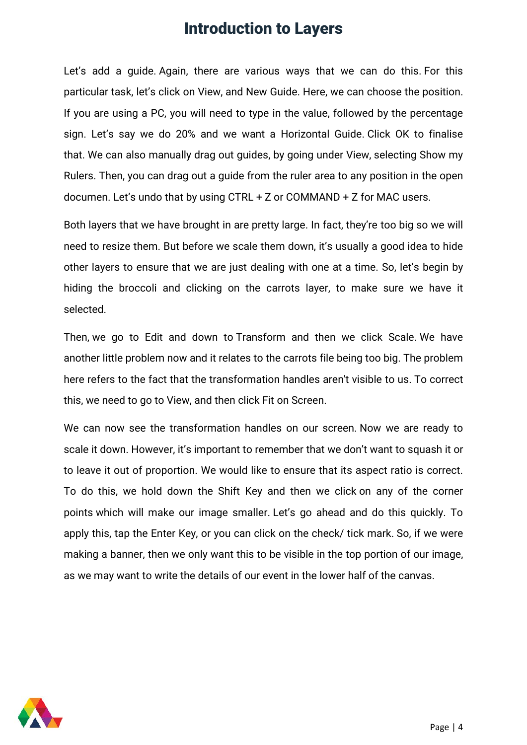Let's add a guide. Again, there are various ways that we can do this. For this particular task, let's click on View, and New Guide. Here, we can choose the position. If you are using a PC, you will need to type in the value, followed by the percentage sign. Let's say we do 20% and we want a Horizontal Guide. Click OK to finalise that. We can also manually drag out guides, by going under View, selecting Show my Rulers. Then, you can drag out a guide from the ruler area to any position in the open documen. Let's undo that by using CTRL + Z or COMMAND + Z for MAC users.

Both layers that we have brought in are pretty large. In fact, they're too big so we will need to resize them. But before we scale them down, it's usually a good idea to hide other layers to ensure that we are just dealing with one at a time. So, let's begin by hiding the broccoli and clicking on the carrots layer, to make sure we have it selected.

Then, we go to Edit and down to Transform and then we click Scale. We have another little problem now and it relates to the carrots file being too big. The problem here refers to the fact that the transformation handles aren't visible to us. To correct this, we need to go to View, and then click Fit on Screen.

We can now see the transformation handles on our screen. Now we are ready to scale it down. However, it's important to remember that we don't want to squash it or to leave it out of proportion. We would like to ensure that its aspect ratio is correct. To do this, we hold down the Shift Key and then we click on any of the corner points which will make our image smaller. Let's go ahead and do this quickly. To apply this, tap the Enter Key, or you can click on the check/ tick mark. So, if we were making a banner, then we only want this to be visible in the top portion of our image, as we may want to write the details of our event in the lower half of the canvas.

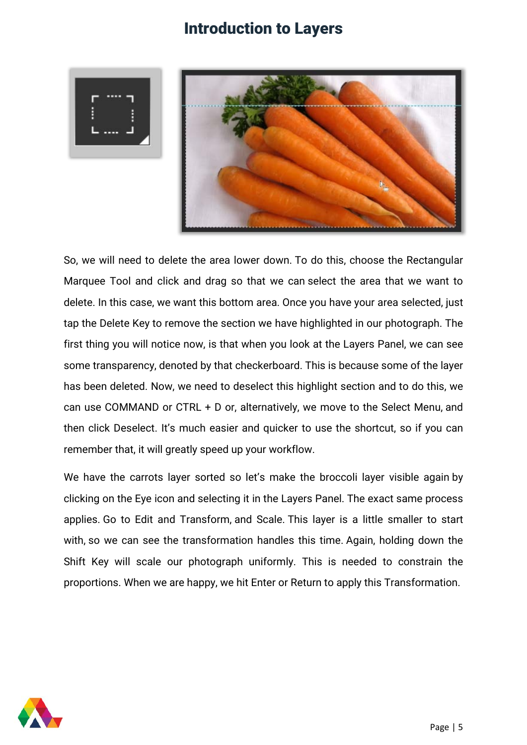



So, we will need to delete the area lower down. To do this, choose the Rectangular Marquee Tool and click and drag so that we can select the area that we want to delete. In this case, we want this bottom area. Once you have your area selected, just tap the Delete Key to remove the section we have highlighted in our photograph. The first thing you will notice now, is that when you look at the Layers Panel, we can see some transparency, denoted by that checkerboard. This is because some of the layer has been deleted. Now, we need to deselect this highlight section and to do this, we can use COMMAND or CTRL + D or, alternatively, we move to the Select Menu, and then click Deselect. It's much easier and quicker to use the shortcut, so if you can remember that, it will greatly speed up your workflow.

We have the carrots layer sorted so let's make the broccoli layer visible again by clicking on the Eye icon and selecting it in the Layers Panel. The exact same process applies. Go to Edit and Transform, and Scale. This layer is a little smaller to start with, so we can see the transformation handles this time. Again, holding down the Shift Key will scale our photograph uniformly. This is needed to constrain the proportions. When we are happy, we hit Enter or Return to apply this Transformation.

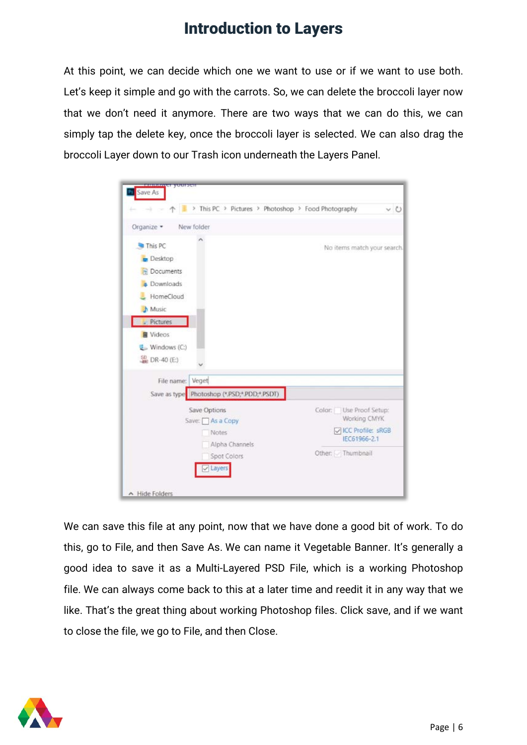At this point, we can decide which one we want to use or if we want to use both. Let's keep it simple and go with the carrots. So, we can delete the broccoli layer now that we don't need it anymore. There are two ways that we can do this, we can simply tap the delete key, once the broccoli layer is selected. We can also drag the broccoli Layer down to our Trash icon underneath the Layers Panel.



We can save this file at any point, now that we have done a good bit of work. To do this, go to File, and then Save As. We can name it Vegetable Banner. It's generally a good idea to save it as a Multi-Layered PSD File, which is a working Photoshop file. We can always come back to this at a later time and reedit it in any way that we like. That's the great thing about working Photoshop files. Click save, and if we want to close the file, we go to File, and then Close.